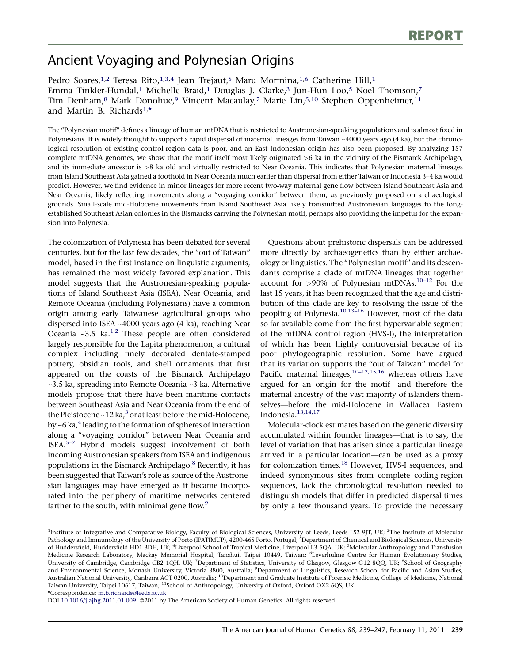# Ancient Voyaging and Polynesian Origins

Pedro Soares,<sup>1,2</sup> Teresa Rito,<sup>1,3,4</sup> Jean Trejaut,<sup>5</sup> Maru Mormina,<sup>1,6</sup> Catherine Hill,<sup>1</sup> Emma Tinkler-Hundal,<sup>1</sup> Michelle Braid,<sup>1</sup> Douglas J. Clarke,<sup>3</sup> Jun-Hun Loo,<sup>5</sup> Noel Thomson,<sup>7</sup> Tim Denham,<sup>8</sup> Mark Donohue,<sup>9</sup> Vincent Macaulay,<sup>7</sup> Marie Lin,<sup>5,10</sup> Stephen Oppenheimer,<sup>11</sup> and Martin B. Richards1, \*

The ''Polynesian motif'' defines a lineage of human mtDNA that is restricted to Austronesian-speaking populations and is almost fixed in Polynesians. It is widely thought to support a rapid dispersal of maternal lineages from Taiwan ~4000 years ago (4 ka), but the chronological resolution of existing control-region data is poor, and an East Indonesian origin has also been proposed. By analyzing 157 complete mtDNA genomes, we show that the motif itself most likely originated >6 ka in the vicinity of the Bismarck Archipelago, and its immediate ancestor is >8 ka old and virtually restricted to Near Oceania. This indicates that Polynesian maternal lineages from Island Southeast Asia gained a foothold in Near Oceania much earlier than dispersal from either Taiwan or Indonesia 3–4 ka would predict. However, we find evidence in minor lineages for more recent two-way maternal gene flow between Island Southeast Asia and Near Oceania, likely reflecting movements along a ''voyaging corridor'' between them, as previously proposed on archaeological grounds. Small-scale mid-Holocene movements from Island Southeast Asia likely transmitted Austronesian languages to the longestablished Southeast Asian colonies in the Bismarcks carrying the Polynesian motif, perhaps also providing the impetus for the expansion into Polynesia.

The colonization of Polynesia has been debated for several centuries, but for the last few decades, the ''out of Taiwan'' model, based in the first instance on linguistic arguments, has remained the most widely favored explanation. This model suggests that the Austronesian-speaking populations of Island Southeast Asia (ISEA), Near Oceania, and Remote Oceania (including Polynesians) have a common origin among early Taiwanese agricultural groups who dispersed into ISEA ~4000 years ago (4 ka), reaching Near Oceania ~3.5 ka. $^{1,2}$  These people are often considered largely responsible for the Lapita phenomenon, a cultural complex including finely decorated dentate-stamped pottery, obsidian tools, and shell ornaments that first appeared on the coasts of the Bismarck Archipelago ~3.5 ka, spreading into Remote Oceania ~3 ka. Alternative models propose that there have been maritime contacts between Southeast Asia and Near Oceania from the end of the Pleistocene  $\sim$  12 ka,<sup>[3](#page-6-0)</sup> or at least before the mid-Holocene, by  $~6$  ka, $4$  leading to the formation of spheres of interaction along a ''voyaging corridor'' between Near Oceania and ISEA.[5–7](#page-6-0) Hybrid models suggest involvement of both incoming Austronesian speakers from ISEA and indigenous populations in the Bismarck Archipelago.<sup>[8](#page-6-0)</sup> Recently, it has been suggested that Taiwan's role as source of the Austronesian languages may have emerged as it became incorporated into the periphery of maritime networks centered farther to the south, with minimal gene flow.<sup>[9](#page-6-0)</sup>

Questions about prehistoric dispersals can be addressed more directly by archaeogenetics than by either archaeology or linguistics. The ''Polynesian motif'' and its descendants comprise a clade of mtDNA lineages that together account for  $>90\%$  of Polynesian mtDNAs.<sup>[10–12](#page-6-0)</sup> For the last 15 years, it has been recognized that the age and distribution of this clade are key to resolving the issue of the peopling of Polynesia.<sup>10,13-16</sup> However, most of the data so far available come from the first hypervariable segment of the mtDNA control region (HVS-I), the interpretation of which has been highly controversial because of its poor phylogeographic resolution. Some have argued that its variation supports the ''out of Taiwan'' model for Pacific maternal lineages, $10-12,15,16$  whereas others have argued for an origin for the motif—and therefore the maternal ancestry of the vast majority of islanders themselves—before the mid-Holocene in Wallacea, Eastern Indonesia. $13,14,17$ 

Molecular-clock estimates based on the genetic diversity accumulated within founder lineages—that is to say, the level of variation that has arisen since a particular lineage arrived in a particular location—can be used as a proxy for colonization times.<sup>[18](#page-7-0)</sup> However, HVS-I sequences, and indeed synonymous sites from complete coding-region sequences, lack the chronological resolution needed to distinguish models that differ in predicted dispersal times by only a few thousand years. To provide the necessary

DOI [10.1016/j.ajhg.2011.01.009.](http://dx.doi.org/10.1016/j.ajhg.2011.01.009) ©2011 by The American Society of Human Genetics. All rights reserved.

<sup>&</sup>lt;sup>1</sup>Institute of Integrative and Comparative Biology, Faculty of Biological Sciences, University of Leeds, Leeds LS2 9JT, UK; <sup>2</sup>The Institute of Molecular Pathology and Immunology of the University of Porto (IPATIMUP), 4200-465 Porto, Portugal; <sup>3</sup>Department of Chemical and Biological Sciences, University of Huddersfield, Huddersfield HD1 3DH, UK; <sup>4</sup>Liverpool School of Tropical Medicine, Liverpool L3 5QA, UK; <sup>5</sup>Molecular Anthropology and Transfusion Medicine Research Laboratory, Mackay Memorial Hospital, Tanshui, Taipei 10449, Taiwan; <sup>6</sup>Leverhulme Centre for Human Evolutionary Studies, University of Cambridge, Cambridge CB2 1QH, UK; <sup>7</sup>Department of Statistics, University of Glasgow, Glasgow G12 8QQ, UK; <sup>8</sup>School of Geography and Environmental Science, Monash University, Victoria 3800, Australia; <sup>9</sup>Department of Linguistics, Research School for Pacific and Asian Studies, Australian National University, Canberra ACT 0200, Australia; <sup>10</sup>Department and Graduate Institute of Forensic Medicine, College of Medicine, National Taiwan University, Taipei 10617, Taiwan; <sup>11</sup>School of Anthropology, University of Oxford, Oxford OX2 6QS, UK \*Correspondence: [m.b.richards@leeds.ac.uk](mailto:m.b.richards@leeds.ac.uk)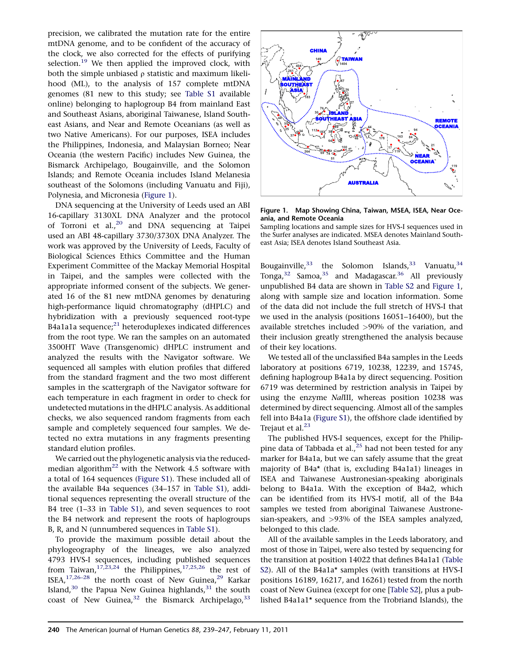precision, we calibrated the mutation rate for the entire mtDNA genome, and to be confident of the accuracy of the clock, we also corrected for the effects of purifying selection. $19$  We then applied the improved clock, with both the simple unbiased  $\rho$  statistic and maximum likelihood (ML), to the analysis of 157 complete mtDNA genomes (81 new to this study; see [Table S1](#page-6-0) available online) belonging to haplogroup B4 from mainland East and Southeast Asians, aboriginal Taiwanese, Island Southeast Asians, and Near and Remote Oceanians (as well as two Native Americans). For our purposes, ISEA includes the Philippines, Indonesia, and Malaysian Borneo; Near Oceania (the western Pacific) includes New Guinea, the Bismarck Archipelago, Bougainville, and the Solomon Islands; and Remote Oceania includes Island Melanesia southeast of the Solomons (including Vanuatu and Fiji), Polynesia, and Micronesia (Figure 1).

DNA sequencing at the University of Leeds used an ABI 16-capillary 3130XL DNA Analyzer and the protocol of Torroni et al.,<sup>[20](#page-7-0)</sup> and DNA sequencing at Taipei used an ABI 48-capillary 3730/3730X DNA Analyzer. The work was approved by the University of Leeds, Faculty of Biological Sciences Ethics Committee and the Human Experiment Committee of the Mackay Memorial Hospital in Taipei, and the samples were collected with the appropriate informed consent of the subjects. We generated 16 of the 81 new mtDNA genomes by denaturing high-performance liquid chromatography (dHPLC) and hybridization with a previously sequenced root-type B4a1a1a sequence; $^{21}$  $^{21}$  $^{21}$  heteroduplexes indicated differences from the root type. We ran the samples on an automated 3500HT Wave (Transgenomic) dHPLC instrument and analyzed the results with the Navigator software. We sequenced all samples with elution profiles that differed from the standard fragment and the two most different samples in the scattergraph of the Navigator software for each temperature in each fragment in order to check for undetected mutations in the dHPLC analysis. As additional checks, we also sequenced random fragments from each sample and completely sequenced four samples. We detected no extra mutations in any fragments presenting standard elution profiles.

We carried out the phylogenetic analysis via the reducedmedian algorith $m^{22}$  $m^{22}$  $m^{22}$  with the Network 4.5 software with a total of 164 sequences ([Figure S1](#page-6-0)). These included all of the available B4a sequences (34–157 in [Table S1](#page-6-0)), additional sequences representing the overall structure of the B4 tree (1–33 in [Table S1\)](#page-6-0), and seven sequences to root the B4 network and represent the roots of haplogroups B, R, and N (unnumbered sequences in [Table S1](#page-6-0)).

To provide the maximum possible detail about the phylogeography of the lineages, we also analyzed 4793 HVS-I sequences, including published sequences from Taiwan,<sup>17,23,24</sup> the Philippines,<sup>[17,25,26](#page-7-0)</sup> the rest of ISEA, $17,26-28$  the north coast of New Guinea, $29$  Karkar Island, $30$  the Papua New Guinea highlands, $31$  the south coast of New Guinea,  $32$  the Bismarck Archipelago,  $33$ 



Figure 1. Map Showing China, Taiwan, MSEA, ISEA, Near Oceania, and Remote Oceania

Sampling locations and sample sizes for HVS-I sequences used in the Surfer analyses are indicated. MSEA denotes Mainland Southeast Asia; ISEA denotes Island Southeast Asia.

Bougainville,  $33$  the Solomon Islands,  $33$  Vanuatu,  $34$ Tonga, $32$  Samoa, $35$  and Madagascar.  $36$  All previously unpublished B4 data are shown in [Table S2](#page-6-0) and Figure 1, along with sample size and location information. Some of the data did not include the full stretch of HVS-I that we used in the analysis (positions 16051–16400), but the available stretches included >90% of the variation, and their inclusion greatly strengthened the analysis because of their key locations.

We tested all of the unclassified B4a samples in the Leeds laboratory at positions 6719, 10238, 12239, and 15745, defining haplogroup B4a1a by direct sequencing. Position 6719 was determined by restriction analysis in Taipei by using the enzyme NalIII, whereas position 10238 was determined by direct sequencing. Almost all of the samples fell into B4a1a ([Figure S1](#page-6-0)), the offshore clade identified by Trejaut et al.<sup>[23](#page-7-0)</sup>

The published HVS-I sequences, except for the Philippine data of Tabbada et al.,  $25$  had not been tested for any marker for B4a1a, but we can safely assume that the great majority of B4a\* (that is, excluding B4a1a1) lineages in ISEA and Taiwanese Austronesian-speaking aboriginals belong to B4a1a. With the exception of B4a2, which can be identified from its HVS-I motif, all of the B4a samples we tested from aboriginal Taiwanese Austronesian-speakers, and >93% of the ISEA samples analyzed, belonged to this clade.

All of the available samples in the Leeds laboratory, and most of those in Taipei, were also tested by sequencing for the transition at position 14022 that defines B4a1a1 ([Table](#page-6-0) [S2](#page-6-0)). All of the B4a1a\* samples (with transitions at HVS-I positions 16189, 16217, and 16261) tested from the north coast of New Guinea (except for one [[Table S2](#page-6-0)], plus a published B4a1a1\* sequence from the Trobriand Islands), the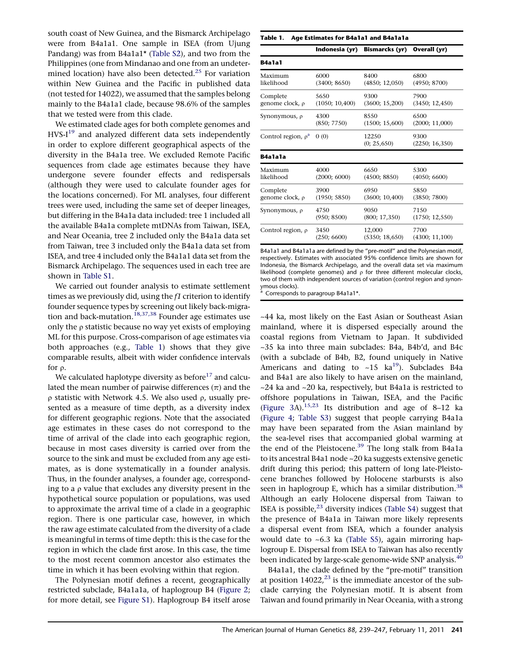<span id="page-2-0"></span>south coast of New Guinea, and the Bismarck Archipelago were from B4a1a1. One sample in ISEA (from Ujung Pandang) was from B4a1a1\* [\(Table S2](#page-6-0)), and two from the Philippines (one from Mindanao and one from an undeter-mined location) have also been detected.<sup>[25](#page-7-0)</sup> For variation within New Guinea and the Pacific in published data (not tested for 14022), we assumed that the samples belong mainly to the B4a1a1 clade, because 98.6% of the samples that we tested were from this clade.

We estimated clade ages for both complete genomes and  $HVS-I^{19}$  $HVS-I^{19}$  $HVS-I^{19}$  and analyzed different data sets independently in order to explore different geographical aspects of the diversity in the B4a1a tree. We excluded Remote Pacific sequences from clade age estimates because they have undergone severe founder effects and redispersals (although they were used to calculate founder ages for the locations concerned). For ML analyses, four different trees were used, including the same set of deeper lineages, but differing in the B4a1a data included: tree 1 included all the available B4a1a complete mtDNAs from Taiwan, ISEA, and Near Oceania, tree 2 included only the B4a1a data set from Taiwan, tree 3 included only the B4a1a data set from ISEA, and tree 4 included only the B4a1a1 data set from the Bismarck Archipelago. The sequences used in each tree are shown in [Table S1](#page-6-0).

We carried out founder analysis to estimate settlement times as we previously did, using the  $f1$  criterion to identify founder sequence types by screening out likely back-migra-tion and back-mutation.<sup>[18,37,38](#page-7-0)</sup> Founder age estimates use only the  $\rho$  statistic because no way yet exists of employing ML for this purpose. Cross-comparison of age estimates via both approaches (e.g., Table 1) shows that they give comparable results, albeit with wider confidence intervals for  $\rho$ .

We calculated haplotype diversity as before<sup>[17](#page-7-0)</sup> and calculated the mean number of pairwise differences  $(\pi)$  and the  $\rho$  statistic with Network 4.5. We also used  $\rho$ , usually presented as a measure of time depth, as a diversity index for different geographic regions. Note that the associated age estimates in these cases do not correspond to the time of arrival of the clade into each geographic region, because in most cases diversity is carried over from the source to the sink and must be excluded from any age estimates, as is done systematically in a founder analysis. Thus, in the founder analyses, a founder age, corresponding to a  $\rho$  value that excludes any diversity present in the hypothetical source population or populations, was used to approximate the arrival time of a clade in a geographic region. There is one particular case, however, in which the raw age estimate calculated from the diversity of a clade is meaningful in terms of time depth: this is the case for the region in which the clade first arose. In this case, the time to the most recent common ancestor also estimates the time in which it has been evolving within that region.

The Polynesian motif defines a recent, geographically restricted subclade, B4a1a1a, of haplogroup B4 [\(Figure 2](#page-3-0); for more detail, see [Figure S1](#page-6-0)). Haplogroup B4 itself arose

#### Table 1. Age Estimates for B4a1a1 and B4a1a1a

| B4a1a1                   |                |                      |                        |
|--------------------------|----------------|----------------------|------------------------|
| Maximum                  | 6000           | 8400                 | 6800                   |
| likelihood               | (3400; 8650)   | (4850; 12,050)       | (4950; 8700)           |
| Complete                 | 5650           | 9300                 | 7900                   |
| genome clock, p          | (1050; 10,400) | (3600; 15,200)       | (3450; 12,450)         |
| Synonymous, ρ            | 4300           | 8550                 | 6500                   |
|                          | (850; 7750)    | (1500; 15,600)       | (2000; 11,000)         |
| Control region, $\rho^a$ | 0(0)           | 12250<br>(0; 25,650) | 9300<br>(2250; 16,350) |
| B4a1a1a                  |                |                      |                        |
| Maximum                  | 4000           | 6650                 | 5300                   |
| likelihood               | (2000; 6000)   | (4500; 8850)         | (4050; 6600)           |
| Complete                 | 3900           | 6950                 | 5850                   |
| genome clock, ρ          | (1950; 5850)   | (3600; 10,400)       | (3850; 7800)           |
| Synonymous, ρ            | 4750           | 9050                 | 7150                   |
|                          | (950; 8500)    | (800; 17,350)        | (1750; 12,550)         |
| Control region, $\rho$   | 3450           | 12.000               | 7700                   |
|                          | (250; 6600)    | (5350; 18,650)       | (4300; 11,100)         |

B4a1a1 and B4a1a1a are defined by the ''pre-motif'' and the Polynesian motif, respectively. Estimates with associated 95% confidence limits are shown for Indonesia, the Bismarck Archipelago, and the overall data set via maximum likelihood (complete genomes) and  $\rho$  for three different molecular clocks, two of them with independent sources of variation (control region and synonymous clocks).

Corresponds to paragroup B4a1a1\*.

~44 ka, most likely on the East Asian or Southeast Asian mainland, where it is dispersed especially around the coastal regions from Vietnam to Japan. It subdivided ~35 ka into three main subclades: B4a, B4b'd, and B4c (with a subclade of B4b, B2, found uniquely in Native Americans and dating to ~15 ka<sup>[19](#page-7-0)</sup>). Subclades B4a and B4a1 are also likely to have arisen on the mainland, ~24 ka and ~20 ka, respectively, but B4a1a is restricted to offshore populations in Taiwan, ISEA, and the Pacific ([Figure 3](#page-3-0)A).<sup>[15,23](#page-7-0)</sup> Its distribution and age of 8–12 ka ([Figure 4](#page-4-0); [Table S3](#page-6-0)) suggest that people carrying B4a1a may have been separated from the Asian mainland by the sea-level rises that accompanied global warming at the end of the Pleistocene.<sup>[39](#page-7-0)</sup> The long stalk from B4a1a to its ancestral B4a1 node ~20 ka suggests extensive genetic drift during this period; this pattern of long late-Pleistocene branches followed by Holocene starbursts is also seen in haplogroup E, which has a similar distribution.<sup>[38](#page-7-0)</sup> Although an early Holocene dispersal from Taiwan to ISEA is possible, $23$  diversity indices [\(Table S4](#page-6-0)) suggest that the presence of B4a1a in Taiwan more likely represents a dispersal event from ISEA, which a founder analysis would date to ~6.3 ka [\(Table S5](#page-6-0)), again mirroring haplogroup E. Dispersal from ISEA to Taiwan has also recently been indicated by large-scale genome-wide SNP analysis.<sup>[40](#page-7-0)</sup>

B4a1a1, the clade defined by the ''pre-motif'' transition at position  $14022<sup>23</sup>$  $14022<sup>23</sup>$  $14022<sup>23</sup>$  is the immediate ancestor of the subclade carrying the Polynesian motif. It is absent from Taiwan and found primarily in Near Oceania, with a strong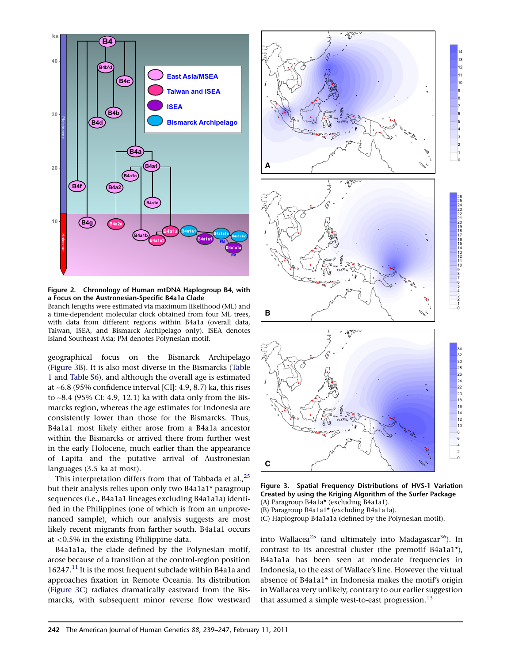



<span id="page-3-0"></span>

Figure 2. Chronology of Human mtDNA Haplogroup B4, with a Focus on the Austronesian-Specific B4a1a Clade Branch lengths were estimated via maximum likelihood (ML) and

a time-dependent molecular clock obtained from four ML trees, with data from different regions within B4a1a (overall data, Taiwan, ISEA, and Bismarck Archipelago only). ISEA denotes Island Southeast Asia; PM denotes Polynesian motif.

geographical focus on the Bismarck Archipelago (Figure 3B). It is also most diverse in the Bismarcks ([Table](#page-2-0) [1](#page-2-0) and [Table S6\)](#page-6-0), and although the overall age is estimated at ~6.8 (95% confidence interval [CI]: 4.9, 8.7) ka, this rises to ~8.4 (95% CI: 4.9, 12.1) ka with data only from the Bismarcks region, whereas the age estimates for Indonesia are consistently lower than those for the Bismarcks. Thus, B4a1a1 most likely either arose from a B4a1a ancestor within the Bismarcks or arrived there from further west in the early Holocene, much earlier than the appearance of Lapita and the putative arrival of Austronesian languages (3.5 ka at most).

This interpretation differs from that of Tabbada et al.,<sup>[25](#page-7-0)</sup> but their analysis relies upon only two B4a1a1\* paragroup sequences (i.e., B4a1a1 lineages excluding B4a1a1a) identified in the Philippines (one of which is from an unprovenanced sample), which our analysis suggests are most likely recent migrants from farther south. B4a1a1 occurs at <0.5% in the existing Philippine data.

B4a1a1a, the clade defined by the Polynesian motif, arose because of a transition at the control-region position 16247.<sup>[11](#page-6-0)</sup> It is the most frequent subclade within B4a1a and approaches fixation in Remote Oceania. Its distribution (Figure 3C) radiates dramatically eastward from the Bismarcks, with subsequent minor reverse flow westward





(C) Haplogroup B4a1a1a (defined by the Polynesian motif).

into Wallacea<sup>[25](#page-7-0)</sup> (and ultimately into Madagascar<sup>[36](#page-7-0)</sup>). In contrast to its ancestral cluster (the premotif B4a1a1\*), B4a1a1a has been seen at moderate frequencies in Indonesia, to the east of Wallace's line. However the virtual absence of B4a1a1\* in Indonesia makes the motif's origin in Wallacea very unlikely, contrary to our earlier suggestion that assumed a simple west-to-east progression. $^{13}$  $^{13}$  $^{13}$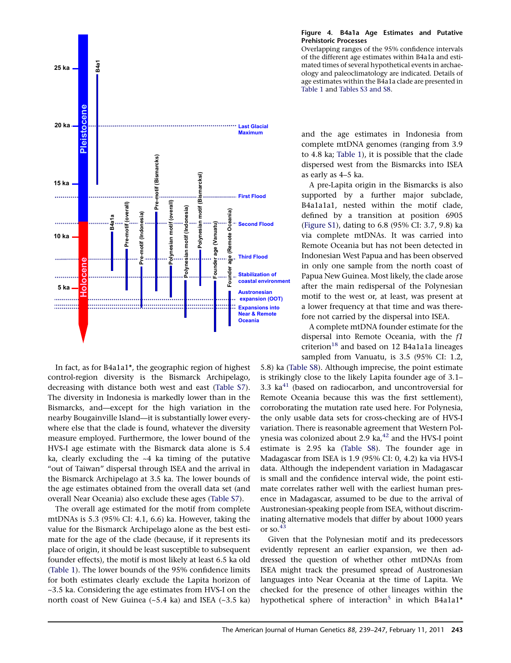<span id="page-4-0"></span>

In fact, as for B4a1a1\*, the geographic region of highest control-region diversity is the Bismarck Archipelago, decreasing with distance both west and east [\(Table S7\)](#page-6-0). The diversity in Indonesia is markedly lower than in the Bismarcks, and—except for the high variation in the nearby Bougainville Island—it is substantially lower everywhere else that the clade is found, whatever the diversity measure employed. Furthermore, the lower bound of the HVS-I age estimate with the Bismarck data alone is 5.4 ka, clearly excluding the ~4 ka timing of the putative "out of Taiwan" dispersal through ISEA and the arrival in the Bismarck Archipelago at 3.5 ka. The lower bounds of the age estimates obtained from the overall data set (and overall Near Oceania) also exclude these ages ([Table S7\)](#page-6-0).

The overall age estimated for the motif from complete mtDNAs is 5.3 (95% CI: 4.1, 6.6) ka. However, taking the value for the Bismarck Archipelago alone as the best estimate for the age of the clade (because, if it represents its place of origin, it should be least susceptible to subsequent founder effects), the motif is most likely at least 6.5 ka old ([Table 1](#page-2-0)). The lower bounds of the 95% confidence limits for both estimates clearly exclude the Lapita horizon of ~3.5 ka. Considering the age estimates from HVS-I on the north coast of New Guinea (~5.4 ka) and ISEA (~3.5 ka)

#### Figure 4. B4a1a Age Estimates and Putative Prehistoric Processes

Overlapping ranges of the 95% confidence intervals of the different age estimates within B4a1a and estimated times of several hypothetical events in archaeology and paleoclimatology are indicated. Details of age estimates within the B4a1a clade are presented in [Table 1](#page-2-0) and [Tables S3 and S8](#page-6-0).

and the age estimates in Indonesia from complete mtDNA genomes (ranging from 3.9 to 4.8 ka; [Table 1](#page-2-0)), it is possible that the clade dispersed west from the Bismarcks into ISEA as early as 4–5 ka.

A pre-Lapita origin in the Bismarcks is also supported by a further major subclade, B4a1a1a1, nested within the motif clade, defined by a transition at position 6905 [\(Figure S1\)](#page-6-0), dating to 6.8 (95% CI: 3.7, 9.8) ka via complete mtDNAs. It was carried into Remote Oceania but has not been detected in Indonesian West Papua and has been observed in only one sample from the north coast of Papua New Guinea. Most likely, the clade arose after the main redispersal of the Polynesian motif to the west or, at least, was present at a lower frequency at that time and was therefore not carried by the dispersal into ISEA.

A complete mtDNA founder estimate for the dispersal into Remote Oceania, with the f1 criterion<sup>[18](#page-7-0)</sup> and based on 12 B4a1a1a lineages sampled from Vanuatu, is 3.5 (95% CI: 1.2,

5.8) ka [\(Table S8](#page-6-0)). Although imprecise, the point estimate is strikingly close to the likely Lapita founder age of 3.1– 3.3  $ka<sup>41</sup>$  $ka<sup>41</sup>$  $ka<sup>41</sup>$  (based on radiocarbon, and uncontroversial for Remote Oceania because this was the first settlement), corroborating the mutation rate used here. For Polynesia, the only usable data sets for cross-checking are of HVS-I variation. There is reasonable agreement that Western Polynesia was colonized about 2.9 ka, $42$  and the HVS-I point estimate is 2.95 ka ([Table S8\)](#page-6-0). The founder age in Madagascar from ISEA is 1.9 (95% CI: 0, 4.2) ka via HVS-I data. Although the independent variation in Madagascar is small and the confidence interval wide, the point estimate correlates rather well with the earliest human presence in Madagascar, assumed to be due to the arrival of Austronesian-speaking people from ISEA, without discriminating alternative models that differ by about 1000 years or so.<sup>43</sup>

Given that the Polynesian motif and its predecessors evidently represent an earlier expansion, we then addressed the question of whether other mtDNAs from ISEA might track the presumed spread of Austronesian languages into Near Oceania at the time of Lapita. We checked for the presence of other lineages within the hypothetical sphere of interaction<sup>[5](#page-6-0)</sup> in which B4a1a1<sup>\*</sup>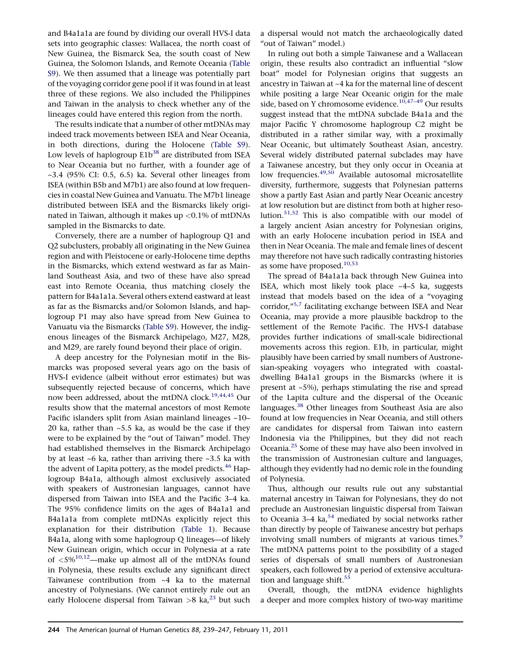and B4a1a1a are found by dividing our overall HVS-I data sets into geographic classes: Wallacea, the north coast of New Guinea, the Bismarck Sea, the south coast of New Guinea, the Solomon Islands, and Remote Oceania ([Table](#page-6-0) [S9](#page-6-0)). We then assumed that a lineage was potentially part of the voyaging corridor gene pool if it was found in at least three of these regions. We also included the Philippines and Taiwan in the analysis to check whether any of the lineages could have entered this region from the north.

The results indicate that a number of other mtDNAs may indeed track movements between ISEA and Near Oceania, in both directions, during the Holocene ([Table S9\)](#page-6-0). Low levels of haplogroup E1b<sup>38</sup> are distributed from ISEA to Near Oceania but no further, with a founder age of  $\sim$ 3.4 (95% CI: 0.5, 6.5) ka. Several other lineages from ISEA (within B5b and M7b1) are also found at low frequencies in coastal New Guinea and Vanuatu. The M7b1 lineage distributed between ISEA and the Bismarcks likely originated in Taiwan, although it makes up <0.1% of mtDNAs sampled in the Bismarcks to date.

Conversely, there are a number of haplogroup Q1 and Q2 subclusters, probably all originating in the New Guinea region and with Pleistocene or early-Holocene time depths in the Bismarcks, which extend westward as far as Mainland Southeast Asia, and two of these have also spread east into Remote Oceania, thus matching closely the pattern for B4a1a1a. Several others extend eastward at least as far as the Bismarcks and/or Solomon Islands, and haplogroup P1 may also have spread from New Guinea to Vanuatu via the Bismarcks ([Table S9](#page-6-0)). However, the indigenous lineages of the Bismarck Archipelago, M27, M28, and M29, are rarely found beyond their place of origin.

A deep ancestry for the Polynesian motif in the Bismarcks was proposed several years ago on the basis of HVS-I evidence (albeit without error estimates) but was subsequently rejected because of concerns, which have now been addressed, about the mtDNA clock.<sup>[19,44,45](#page-7-0)</sup> Our results show that the maternal ancestors of most Remote Pacific islanders split from Asian mainland lineages ~10– 20 ka, rather than  $~5.5$  ka, as would be the case if they were to be explained by the ''out of Taiwan'' model. They had established themselves in the Bismarck Archipelago by at least ~6 ka, rather than arriving there ~3.5 ka with the advent of Lapita pottery, as the model predicts.<sup>[46](#page-8-0)</sup> Haplogroup B4a1a, although almost exclusively associated with speakers of Austronesian languages, cannot have dispersed from Taiwan into ISEA and the Pacific 3–4 ka. The 95% confidence limits on the ages of B4a1a1 and B4a1a1a from complete mtDNAs explicitly reject this explanation for their distribution [\(Table 1\)](#page-2-0). Because B4a1a, along with some haplogroup Q lineages—of likely New Guinean origin, which occur in Polynesia at a rate of  $\langle 5\%^{10,12}$  $\langle 5\%^{10,12}$  $\langle 5\%^{10,12}$ —make up almost all of the mtDNAs found in Polynesia, these results exclude any significant direct Taiwanese contribution from ~4 ka to the maternal ancestry of Polynesians. (We cannot entirely rule out an early Holocene dispersal from Taiwan  $>8$  ka,<sup>[23](#page-7-0)</sup> but such

a dispersal would not match the archaeologically dated "out of Taiwan" model.)

In ruling out both a simple Taiwanese and a Wallacean origin, these results also contradict an influential ''slow boat'' model for Polynesian origins that suggests an ancestry in Taiwan at ~4 ka for the maternal line of descent while positing a large Near Oceanic origin for the male side, based on Y chromosome evidence.<sup>10,47-49</sup> Our results suggest instead that the mtDNA subclade B4a1a and the major Pacific Y chromosome haplogroup C2 might be distributed in a rather similar way, with a proximally Near Oceanic, but ultimately Southeast Asian, ancestry. Several widely distributed paternal subclades may have a Taiwanese ancestry, but they only occur in Oceania at low frequencies.<sup>[49,50](#page-8-0)</sup> Available autosomal microsatellite diversity, furthermore, suggests that Polynesian patterns show a partly East Asian and partly Near Oceanic ancestry at low resolution but are distinct from both at higher resolution.[51,52](#page-8-0) This is also compatible with our model of a largely ancient Asian ancestry for Polynesian origins, with an early Holocene incubation period in ISEA and then in Near Oceania. The male and female lines of descent may therefore not have such radically contrasting histories as some have proposed.<sup>[10,53](#page-6-0)</sup>

The spread of B4a1a1a back through New Guinea into ISEA, which most likely took place  $~-4-5$  ka, suggests instead that models based on the idea of a ''voyaging corridor,"<sup>[5,7](#page-6-0)</sup> facilitating exchange between ISEA and Near Oceania, may provide a more plausible backdrop to the settlement of the Remote Pacific. The HVS-I database provides further indications of small-scale bidirectional movements across this region. E1b, in particular, might plausibly have been carried by small numbers of Austronesian-speaking voyagers who integrated with coastaldwelling B4a1a1 groups in the Bismarcks (where it is present at ~5%), perhaps stimulating the rise and spread of the Lapita culture and the dispersal of the Oceanic languages.<sup>[38](#page-7-0)</sup> Other lineages from Southeast Asia are also found at low frequencies in Near Oceania, and still others are candidates for dispersal from Taiwan into eastern Indonesia via the Philippines, but they did not reach Oceania.[25](#page-7-0) Some of these may have also been involved in the transmission of Austronesian culture and languages, although they evidently had no demic role in the founding of Polynesia.

Thus, although our results rule out any substantial maternal ancestry in Taiwan for Polynesians, they do not preclude an Austronesian linguistic dispersal from Taiwan to Oceania 3–4 ka,<sup>[54](#page-8-0)</sup> mediated by social networks rather than directly by people of Taiwanese ancestry but perhaps involving small numbers of migrants at various times.<sup>[9](#page-6-0)</sup> The mtDNA patterns point to the possibility of a staged series of dispersals of small numbers of Austronesian speakers, each followed by a period of extensive accultura-tion and language shift.<sup>[55](#page-8-0)</sup>

Overall, though, the mtDNA evidence highlights a deeper and more complex history of two-way maritime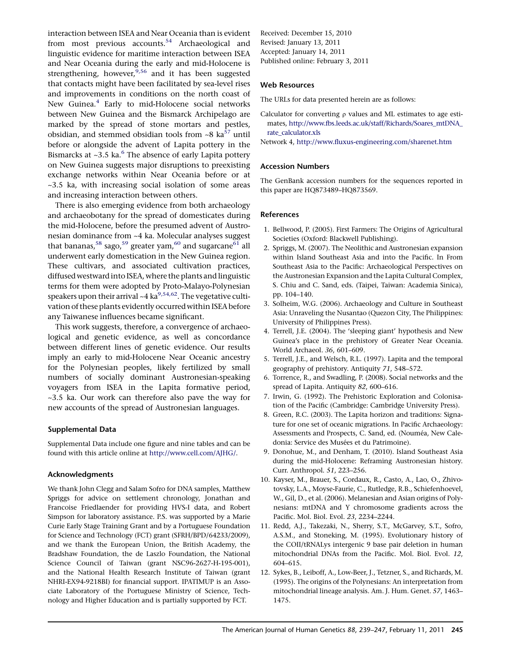<span id="page-6-0"></span>interaction between ISEA and Near Oceania than is evident from most previous accounts.<sup>54</sup> Archaeological and linguistic evidence for maritime interaction between ISEA and Near Oceania during the early and mid-Holocene is strengthening, however,  $9,56$  and it has been suggested that contacts might have been facilitated by sea-level rises and improvements in conditions on the north coast of New Guinea.<sup>4</sup> Early to mid-Holocene social networks between New Guinea and the Bismarck Archipelago are marked by the spread of stone mortars and pestles, obsidian, and stemmed obsidian tools from  $\sim8$  ka<sup>[57](#page-8-0)</sup> until before or alongside the advent of Lapita pottery in the Bismarcks at  $\sim$ 3.5 ka. $^6$  The absence of early Lapita pottery on New Guinea suggests major disruptions to preexisting exchange networks within Near Oceania before or at ~3.5 ka, with increasing social isolation of some areas and increasing interaction between others.

There is also emerging evidence from both archaeology and archaeobotany for the spread of domesticates during the mid-Holocene, before the presumed advent of Austronesian dominance from ~4 ka. Molecular analyses suggest that bananas,<sup>[58](#page-8-0)</sup> sago,<sup>[59](#page-8-0)</sup> greater yam,<sup>[60](#page-8-0)</sup> and sugarcane<sup>61</sup> all underwent early domestication in the New Guinea region. These cultivars, and associated cultivation practices, diffused westward into ISEA, where the plants and linguistic terms for them were adopted by Proto-Malayo-Polynesian speakers upon their arrival  $\sim$  4 ka<sup>9,54,62</sup>. The vegetative cultivation of these plants evidently occurred within ISEA before any Taiwanese influences became significant.

This work suggests, therefore, a convergence of archaeological and genetic evidence, as well as concordance between different lines of genetic evidence. Our results imply an early to mid-Holocene Near Oceanic ancestry for the Polynesian peoples, likely fertilized by small numbers of socially dominant Austronesian-speaking voyagers from ISEA in the Lapita formative period, ~3.5 ka. Our work can therefore also pave the way for new accounts of the spread of Austronesian languages.

# Supplemental Data

Supplemental Data include one figure and nine tables and can be found with this article online at [http://www.cell.com/AJHG/.](http://www.cell.com/AJHG/)

# Acknowledgments

We thank John Clegg and Salam Sofro for DNA samples, Matthew Spriggs for advice on settlement chronology, Jonathan and Francoise Friedlaender for providing HVS-I data, and Robert Simpson for laboratory assistance. P.S. was supported by a Marie Curie Early Stage Training Grant and by a Portuguese Foundation for Science and Technology (FCT) grant (SFRH/BPD/64233/2009), and we thank the European Union, the British Academy, the Bradshaw Foundation, the de Laszlo Foundation, the National Science Council of Taiwan (grant NSC96-2627-H-195-001), and the National Health Research Institute of Taiwan (grant NHRI-EX94-9218BI) for financial support. IPATIMUP is an Associate Laboratory of the Portuguese Ministry of Science, Technology and Higher Education and is partially supported by FCT.

Received: December 15, 2010 Revised: January 13, 2011 Accepted: January 14, 2011 Published online: February 3, 2011

## Web Resources

The URLs for data presented herein are as follows:

Calculator for converting  $\rho$  values and ML estimates to age estimates, [http://www.fbs.leeds.ac.uk/staff/Richards/Soares\\_mtDNA\\_](http://www.fbs.leeds.ac.uk/staff/Richards/Soares_mtDNA_rate_calculator.xls) [rate\\_calculator.xls](http://www.fbs.leeds.ac.uk/staff/Richards/Soares_mtDNA_rate_calculator.xls)

Network 4, <http://www.fluxus-engineering.com/sharenet.htm>

### Accession Numbers

The GenBank accession numbers for the sequences reported in this paper are HQ873489–HQ873569.

### References

- 1. Bellwood, P. (2005). First Farmers: The Origins of Agricultural Societies (Oxford: Blackwell Publishing).
- 2. Spriggs, M. (2007). The Neolithic and Austronesian expansion within Island Southeast Asia and into the Pacific. In From Southeast Asia to the Pacific: Archaeological Perspectives on the Austronesian Expansion and the Lapita Cultural Complex, S. Chiu and C. Sand, eds. (Taipei, Taiwan: Academia Sinica), pp. 104–140.
- 3. Solheim, W.G. (2006). Archaeology and Culture in Southeast Asia: Unraveling the Nusantao (Quezon City, The Philippines: University of Philippines Press).
- 4. Terrell, J.E. (2004). The 'sleeping giant' hypothesis and New Guinea's place in the prehistory of Greater Near Oceania. World Archaeol. 36, 601–609.
- 5. Terrell, J.E., and Welsch, R.L. (1997). Lapita and the temporal geography of prehistory. Antiquity 71, 548–572.
- 6. Torrence, R., and Swadling, P. (2008). Social networks and the spread of Lapita. Antiquity 82, 600–616.
- 7. Irwin, G. (1992). The Prehistoric Exploration and Colonisation of the Pacific (Cambridge: Cambridge University Press).
- 8. Green, R.C. (2003). The Lapita horizon and traditions: Signature for one set of oceanic migrations. In Pacific Archaeology: Assessments and Prospects, C. Sand, ed. (Nouméa, New Caledonia: Service des Musées et du Patrimoine).
- 9. Donohue, M., and Denham, T. (2010). Island Southeast Asia during the mid-Holocene: Reframing Austronesian history. Curr. Anthropol. 51, 223–256.
- 10. Kayser, M., Brauer, S., Cordaux, R., Casto, A., Lao, O., Zhivotovsky, L.A., Moyse-Faurie, C., Rutledge, R.B., Schiefenhoevel, W., Gil, D., et al. (2006). Melanesian and Asian origins of Polynesians: mtDNA and Y chromosome gradients across the Pacific. Mol. Biol. Evol. 23, 2234–2244.
- 11. Redd, A.J., Takezaki, N., Sherry, S.T., McGarvey, S.T., Sofro, A.S.M., and Stoneking, M. (1995). Evolutionary history of the COII/tRNALys intergenic 9 base pair deletion in human mitochondrial DNAs from the Pacific. Mol. Biol. Evol. 12, 604–615.
- 12. Sykes, B., Leiboff, A., Low-Beer, J., Tetzner, S., and Richards, M. (1995). The origins of the Polynesians: An interpretation from mitochondrial lineage analysis. Am. J. Hum. Genet. 57, 1463– 1475.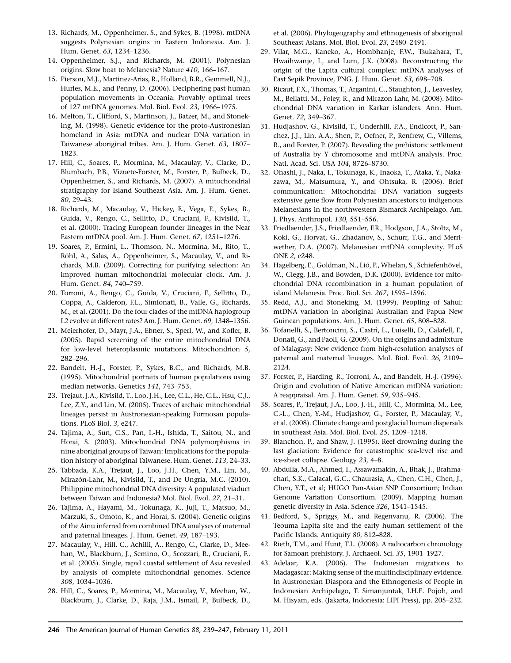- <span id="page-7-0"></span>13. Richards, M., Oppenheimer, S., and Sykes, B. (1998). mtDNA suggests Polynesian origins in Eastern Indonesia. Am. J. Hum. Genet. 63, 1234–1236.
- 14. Oppenheimer, S.J., and Richards, M. (2001). Polynesian origins. Slow boat to Melanesia? Nature 410, 166–167.
- 15. Pierson, M.J., Martinez-Arias, R., Holland, B.R., Gemmell, N.J., Hurles, M.E., and Penny, D. (2006). Deciphering past human population movements in Oceania: Provably optimal trees of 127 mtDNA genomes. Mol. Biol. Evol. 23, 1966–1975.
- 16. Melton, T., Clifford, S., Martinson, J., Batzer, M., and Stoneking, M. (1998). Genetic evidence for the proto-Austronesian homeland in Asia: mtDNA and nuclear DNA variation in Taiwanese aboriginal tribes. Am. J. Hum. Genet. 63, 1807– 1823.
- 17. Hill, C., Soares, P., Mormina, M., Macaulay, V., Clarke, D., Blumbach, P.B., Vizuete-Forster, M., Forster, P., Bulbeck, D., Oppenheimer, S., and Richards, M. (2007). A mitochondrial stratigraphy for Island Southeast Asia. Am. J. Hum. Genet. 80, 29–43.
- 18. Richards, M., Macaulay, V., Hickey, E., Vega, E., Sykes, B., Guida, V., Rengo, C., Sellitto, D., Cruciani, F., Kivisild, T., et al. (2000). Tracing European founder lineages in the Near Eastern mtDNA pool. Am. J. Hum. Genet. 67, 1251–1276.
- 19. Soares, P., Ermini, L., Thomson, N., Mormina, M., Rito, T., Röhl, A., Salas, A., Oppenheimer, S., Macaulay, V., and Richards, M.B. (2009). Correcting for purifying selection: An improved human mitochondrial molecular clock. Am. J. Hum. Genet. 84, 740–759.
- 20. Torroni, A., Rengo, C., Guida, V., Cruciani, F., Sellitto, D., Coppa, A., Calderon, F.L., Simionati, B., Valle, G., Richards, M., et al. (2001). Do the four clades of the mtDNA haplogroup L2 evolve at different rates? Am. J. Hum. Genet. 69, 1348–1356.
- 21. Meierhofer, D., Mayr, J.A., Ebner, S., Sperl, W., and Kofler, B. (2005). Rapid screening of the entire mitochondrial DNA for low-level heteroplasmic mutations. Mitochondrion 5, 282–296.
- 22. Bandelt, H.-J., Forster, P., Sykes, B.C., and Richards, M.B. (1995). Mitochondrial portraits of human populations using median networks. Genetics 141, 743–753.
- 23. Trejaut, J.A., Kivisild, T., Loo, J.H., Lee, C.L., He, C.L., Hsu, C.J., Lee, Z.Y., and Lin, M. (2005). Traces of archaic mitochondrial lineages persist in Austronesian-speaking Formosan populations. PLoS Biol. 3, e247.
- 24. Tajima, A., Sun, C.S., Pan, I.-H., Ishida, T., Saitou, N., and Horai, S. (2003). Mitochondrial DNA polymorphisms in nine aboriginal groups of Taiwan: Implications for the population history of aboriginal Taiwanese. Hum. Genet. 113, 24–33.
- 25. Tabbada, K.A., Trejaut, J., Loo, J.H., Chen, Y.M., Lin, M., Mirazón-Lahr, M., Kivisild, T., and De Ungria, M.C. (2010). Philippine mitochondrial DNA diversity: A populated viaduct between Taiwan and Indonesia? Mol. Biol. Evol. 27, 21–31.
- 26. Tajima, A., Hayami, M., Tokunaga, K., Juji, T., Matsuo, M., Marzuki, S., Omoto, K., and Horai, S. (2004). Genetic origins of the Ainu inferred from combined DNA analyses of maternal and paternal lineages. J. Hum. Genet. 49, 187–193.
- 27. Macaulay, V., Hill, C., Achilli, A., Rengo, C., Clarke, D., Meehan, W., Blackburn, J., Semino, O., Scozzari, R., Cruciani, F., et al. (2005). Single, rapid coastal settlement of Asia revealed by analysis of complete mitochondrial genomes. Science 308, 1034–1036.
- 28. Hill, C., Soares, P., Mormina, M., Macaulay, V., Meehan, W., Blackburn, J., Clarke, D., Raja, J.M., Ismail, P., Bulbeck, D.,

et al. (2006). Phylogeography and ethnogenesis of aboriginal Southeast Asians. Mol. Biol. Evol. 23, 2480–2491.

- 29. Vilar, M.G., Kaneko, A., Hombhanje, F.W., Tsukahara, T., Hwaihwanje, I., and Lum, J.K. (2008). Reconstructing the origin of the Lapita cultural complex: mtDNA analyses of East Sepik Province, PNG. J. Hum. Genet. 53, 698–708.
- 30. Ricaut, F.X., Thomas, T., Arganini, C., Staughton, J., Leavesley, M., Bellatti, M., Foley, R., and Mirazon Lahr, M. (2008). Mitochondrial DNA variation in Karkar islanders. Ann. Hum. Genet. 72, 349–367.
- 31. Hudjashov, G., Kivisild, T., Underhill, P.A., Endicott, P., Sanchez, J.J., Lin, A.A., Shen, P., Oefner, P., Renfrew, C., Villems, R., and Forster, P. (2007). Revealing the prehistoric settlement of Australia by Y chromosome and mtDNA analysis. Proc. Natl. Acad. Sci. USA 104, 8726–8730.
- 32. Ohashi, J., Naka, I., Tokunaga, K., Inaoka, T., Ataka, Y., Nakazawa, M., Matsumura, Y., and Ohtsuka, R. (2006). Brief communication: Mitochondrial DNA variation suggests extensive gene flow from Polynesian ancestors to indigenous Melanesians in the northwestern Bismarck Archipelago. Am. J. Phys. Anthropol. 130, 551–556.
- 33. Friedlaender, J.S., Friedlaender, F.R., Hodgson, J.A., Stoltz, M., Koki, G., Horvat, G., Zhadanov, S., Schurr, T.G., and Merriwether, D.A. (2007). Melanesian mtDNA complexity. PLoS ONE 2, e248.
- 34. Hagelberg, E., Goldman, N., Lió, P., Whelan, S., Schiefenhövel, W., Clegg, J.B., and Bowden, D.K. (2000). Evidence for mitochondrial DNA recombination in a human population of island Melanesia. Proc. Biol. Sci. 267, 1595–1596.
- 35. Redd, A.J., and Stoneking, M. (1999). Peopling of Sahul: mtDNA variation in aboriginal Australian and Papua New Guinean populations. Am. J. Hum. Genet. 65, 808–828.
- 36. Tofanelli, S., Bertoncini, S., Castrì, L., Luiselli, D., Calafell, F., Donati, G., and Paoli, G. (2009). On the origins and admixture of Malagasy: New evidence from high-resolution analyses of paternal and maternal lineages. Mol. Biol. Evol. 26, 2109– 2124.
- 37. Forster, P., Harding, R., Torroni, A., and Bandelt, H.-J. (1996). Origin and evolution of Native American mtDNA variation: A reappraisal. Am. J. Hum. Genet. 59, 935–945.
- 38. Soares, P., Trejaut, J.A., Loo, J.-H., Hill, C., Mormina, M., Lee, C.-L., Chen, Y.-M., Hudjashov, G., Forster, P., Macaulay, V., et al. (2008). Climate change and postglacial human dispersals in southeast Asia. Mol. Biol. Evol. 25, 1209–1218.
- 39. Blanchon, P., and Shaw, J. (1995). Reef drowning during the last glaciation: Evidence for catastrophic sea-level rise and ice-sheet collapse. Geology 23, 4–8.
- 40. Abdulla, M.A., Ahmed, I., Assawamakin, A., Bhak, J., Brahmachari, S.K., Calacal, G.C., Chaurasia, A., Chen, C.H., Chen, J., Chen, Y.T., et al; HUGO Pan-Asian SNP Consortium; Indian Genome Variation Consortium. (2009). Mapping human genetic diversity in Asia. Science 326, 1541–1545.
- 41. Bedford, S., Spriggs, M., and Regenvanu, R. (2006). The Teouma Lapita site and the early human settlement of the Pacific Islands. Antiquity 80, 812–828.
- 42. Rieth, T.M., and Hunt, T.L. (2008). A radiocarbon chronology for Samoan prehistory. J. Archaeol. Sci. 35, 1901–1927.
- 43. Adelaar, K.A. (2006). The Indonesian migrations to Madagascar: Making sense of the multindisciplinary evidence. In Austronesian Diaspora and the Ethnogenesis of People in Indonesian Archipelago, T. Simanjuntak, I.H.E. Pojoh, and M. Hisyam, eds. (Jakarta, Indonesia: LIPI Press), pp. 205–232.